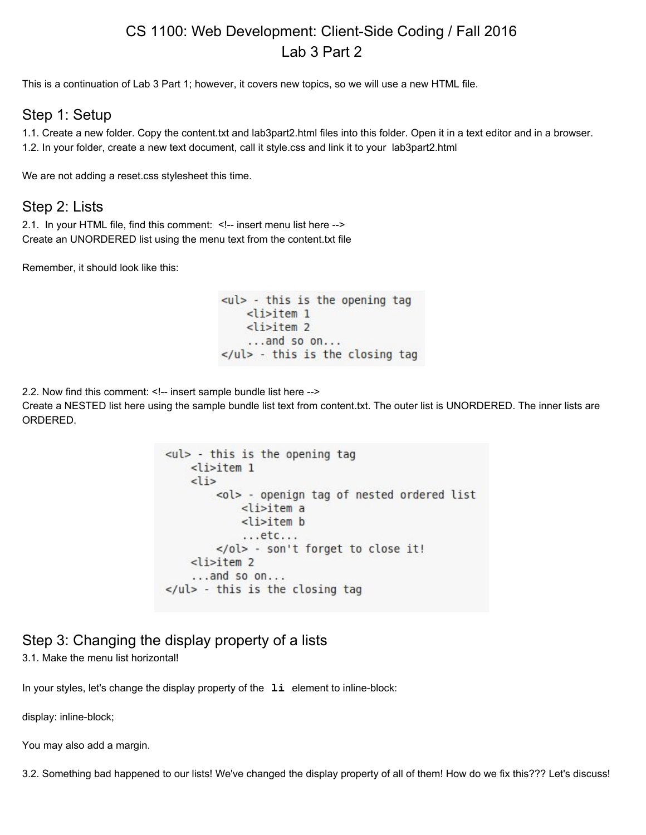## CS 1100: Web Development: Client-Side Coding / Fall 2016 Lab 3 Part 2

This is a continuation of Lab 3 Part 1; however, it covers new topics, so we will use a new HTML file.

#### Step 1: Setup

1.1. Create a new folder. Copy the content.txt and lab3part2.html files into this folder. Open it in a text editor and in a browser. 1.2. In your folder, create a new text document, call it style.css and link it to your lab3part2.html

We are not adding a reset.css stylesheet this time.

#### Step 2: Lists

2.1. In your HTML file, find this comment: <!-- insert menu list here --> Create an UNORDERED list using the menu text from the content.txt file

Remember, it should look like this:

 $\left\langle \text{ul} \right\rangle$  - this is the opening tag  $<$ li>item 1  $<$ li>item 2 ...and so on...  $\langle$ /ul> - this is the closing tag

2.2. Now find this comment: <!-- insert sample bundle list here -->

Create a NESTED list here using the sample bundle list text from content.txt. The outer list is UNORDERED. The inner lists are ORDERED.

```
<ul> - this is the opening tag
    <li>item 1
    <li>
        <ol> - openign tag of nested ordered list
            <li>item a
            <li>item b
            ...etc...</ol> - son't forget to close it!
    <li>item 2
    \ldots and so on...
</ul> - this is the closing tag
```
### Step 3: Changing the display property of a lists

3.1. Make the menu list horizontal!

In your styles, let's change the display property of the **li** element to inline-block:

display: inline-block;

You may also add a margin.

3.2. Something bad happened to our lists! We've changed the display property of all of them! How do we fix this??? Let's discuss!